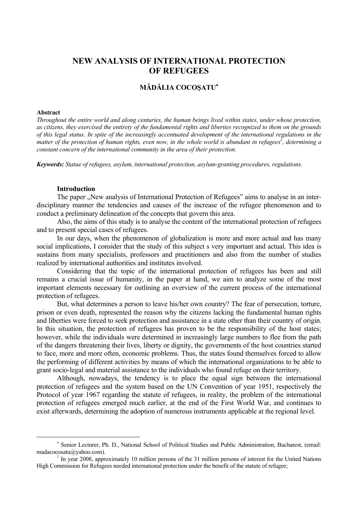# **NEW ANALYSIS OF INTERNATIONAL PROTECTION OF REFUGEES**

# **MĂDĂLIA COCOŞATU**<sup>∗</sup>

## **Abstract**

 $\overline{a}$ 

*Throughout the entire world and along centuries, the human beings lived within states, under whose protection, as citizens, they exercised the entirety of the fundamental rights and liberties recognized to them on the grounds of this legal status. In spite of the increasingly accentuated development of the international regulations in the matter of the protection of human rights, even now, in the whole world is abundant in refugees<sup><i>†</sup>, determining a*</sup> *constant concern of the international community in the area of their protection.* 

*Keywords: Statue of refugees, asylum, international protection, asylum-granting procedures, regulations.*

#### **Introduction**

The paper ...New analysis of International Protection of Refugees" aims to analyse in an interdisciplinary manner the tendencies and causes of the increase of the refugee phenomenon and to conduct a preliminary delineation of the concepts that govern this area.

Also, the aims of this study is to analyse the content of the international protection of refugees and to present special cases of refugees.

In our days, when the phenomenon of globalization is more and more actual and has many social implications, I consider that the study of this subject s very important and actual. This idea is sustains from many specialists, professors and practitioners and also from the number of studies realized by international authorities and institutes involved.

Considering that the topic of the international protection of refugees has been and still remains a crucial issue of humanity, in the paper at hand, we aim to analyze some of the most important elements necessary for outlining an overview of the current process of the international protection of refugees.

But, what determines a person to leave his/her own country? The fear of persecution, torture, prison or even death, represented the reason why the citizens lacking the fundamental human rights and liberties were forced to seek protection and assistance in a state other than their country of origin. In this situation, the protection of refugees has proven to be the responsibility of the host states; however, while the individuals were determined in increasingly large numbers to flee from the path of the dangers threatening their lives, liberty or dignity, the governments of the host countries started to face, more and more often, economic problems. Thus, the states found themselves forced to allow the performing of different activities by means of which the international organizations to be able to grant socio-legal and material assistance to the individuals who found refuge on their territory.

Although, nowadays, the tendency is to place the equal sign between the international protection of refugees and the system based on the UN Convention of year 1951, respectively the Protocol of year 1967 regarding the statute of refugees, in reality, the problem of the international protection of refugees emerged much earlier, at the end of the First World War, and continues to exist afterwards, determining the adoption of numerous instruments applicable at the regional level.

<sup>∗</sup> Senior Lecturer, Ph. D., National School of Political Studies and Public Administration, Bucharest, (email: madacocosatu@yahoo.com). 1

In year 2008, approximately 10 million persons of the 31 million persons of interest for the United Nations High Commission for Refugees needed international protection under the benefit of the statute of refugee;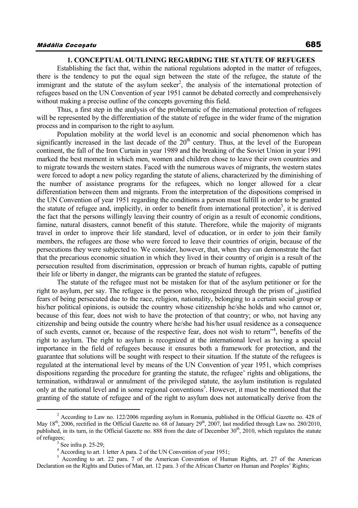# **1. CONCEPTUAL OUTLINING REGARDING THE STATUTE OF REFUGEES**

Establishing the fact that, within the national regulations adopted in the matter of refugees, there is the tendency to put the equal sign between the state of the refugee, the statute of the immigrant and the statute of the asylum seeker<sup>2</sup>, the analysis of the international protection of refugees based on the UN Convention of year 1951 cannot be debated correctly and comprehensively without making a precise outline of the concepts governing this field.

Thus, a first step in the analysis of the problematic of the international protection of refugees will be represented by the differentiation of the statute of refugee in the wider frame of the migration process and in comparison to the right to asylum.

Population mobility at the world level is an economic and social phenomenon which has significantly increased in the last decade of the  $20<sup>th</sup>$  century. Thus, at the level of the European continent, the fall of the Iron Curtain in year 1989 and the breaking of the Soviet Union in year 1991 marked the best moment in which men, women and children chose to leave their own countries and to migrate towards the western states. Faced with the numerous waves of migrants, the western states were forced to adopt a new policy regarding the statute of aliens, characterized by the diminishing of the number of assistance programs for the refugees, which no longer allowed for a clear differentiation between them and migrants. From the interpretation of the dispositions comprised in the UN Convention of year 1951 regarding the conditions a person must fulfill in order to be granted the statute of refugee and, implicitly, in order to benefit from international protection<sup>3</sup>, it is derived the fact that the persons willingly leaving their country of origin as a result of economic conditions, famine, natural disasters, cannot benefit of this statute. Therefore, while the majority of migrants travel in order to improve their life standard, level of education, or in order to join their family members, the refugees are those who were forced to leave their countries of origin, because of the persecutions they were subjected to. We consider, however, that, when they can demonstrate the fact that the precarious economic situation in which they lived in their country of origin is a result of the persecution resulted from discrimination, oppression or breach of human rights, capable of putting their life or liberty in danger, the migrants can be granted the statute of refugees.

The statute of the refugee must not be mistaken for that of the asylum petitioner or for the right to asylum, per say. The refugee is the person who, recognized through the prism of "justified fears of being persecuted due to the race, religion, nationality, belonging to a certain social group or his/her political opinions, is outside the country whose citizenship he/she holds and who cannot or, because of this fear, does not wish to have the protection of that country; or who, not having any citizenship and being outside the country where he/she had his/her usual residence as a consequence of such events, cannot or, because of the respective fear, does not wish to return"<sup>4</sup>, benefits of the right to asylum. The right to asylum is recognized at the international level as having a special importance in the field of refugees because it ensures both a framework for protection, and the guarantee that solutions will be sought with respect to their situation. If the statute of the refugees is regulated at the international level by means of the UN Convention of year 1951, which comprises dispositions regarding the procedure for granting the statute, the refugee' rights and obligations, the termination, withdrawal or annulment of the privileged statute, the asylum institution is regulated only at the national level and in some regional conventions<sup>5</sup>. However, it must be mentioned that the granting of the statute of refugee and of the right to asylum does not automatically derive from the

 $\overline{\phantom{a}}$ <sup>2</sup> According to Law no. 122/2006 regarding asylum in Romania, published in the Official Gazette no. 428 of May  $18^{th}$ , 2006, rectified in the Official Gazette no. 68 of January  $29^{th}$ , 2007, last modified through Law no. 280/2010, published, in its turn, in the Official Gazette no. 888 from the date of December  $30<sup>th</sup>$ , 2010, which regulates the statute of refugees;

 $3$  See infra p. 25-29;

<sup>4</sup> According to art. 1 letter A para. 2 of the UN Convention of year 1951;

<sup>&</sup>lt;sup>5</sup> According to art. 22 para. 7 of the American Convention of Human Rights, art. 27 of the American Declaration on the Rights and Duties of Man, art. 12 para. 3 of the African Charter on Human and Peoples' Rights;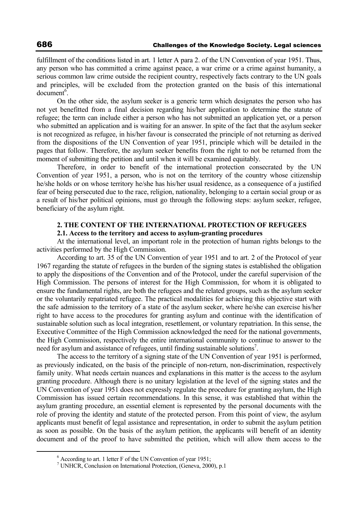fulfillment of the conditions listed in art. 1 letter A para 2. of the UN Convention of year 1951. Thus, any person who has committed a crime against peace, a war crime or a crime against humanity, a serious common law crime outside the recipient country, respectively facts contrary to the UN goals and principles, will be excluded from the protection granted on the basis of this international  $document<sup>6</sup>$ .

On the other side, the asylum seeker is a generic term which designates the person who has not yet benefitted from a final decision regarding his/her application to determine the statute of refugee; the term can include either a person who has not submitted an application yet, or a person who submitted an application and is waiting for an answer. In spite of the fact that the asylum seeker is not recognized as refugee, in his/her favour is consecrated the principle of not returning as derived from the dispositions of the UN Convention of year 1951, principle which will be detailed in the pages that follow. Therefore, the asylum seeker benefits from the right to not be returned from the moment of submitting the petition and until when it will be examined equitably.

Therefore, in order to benefit of the international protection consecrated by the UN Convention of year 1951, a person, who is not on the territory of the country whose citizenship he/she holds or on whose territory he/she has his/her usual residence, as a consequence of a justified fear of being persecuted due to the race, religion, nationality, belonging to a certain social group or as a result of his/her political opinions, must go through the following steps: asylum seeker, refugee, beneficiary of the asylum right.

# **2. THE CONTENT OF THE INTERNATIONAL PROTECTION OF REFUGEES 2.1. Access to the territory and access to asylum-granting procedures**

At the international level, an important role in the protection of human rights belongs to the activities performed by the High Commission.

According to art. 35 of the UN Convention of year 1951 and to art. 2 of the Protocol of year 1967 regarding the statute of refugees in the burden of the signing states is established the obligation to apply the dispositions of the Convention and of the Protocol, under the careful supervision of the High Commission. The persons of interest for the High Commission, for whom it is obligated to ensure the fundamental rights, are both the refugees and the related groups, such as the asylum seeker or the voluntarily repatriated refugee. The practical modalities for achieving this objective start with the safe admission to the territory of a state of the asylum seeker, where he/she can exercise his/her right to have access to the procedures for granting asylum and continue with the identification of sustainable solution such as local integration, resettlement, or voluntary repatriation. In this sense, the Executive Committee of the High Commission acknowledged the need for the national governments, the High Commission, respectively the entire international community to continue to answer to the need for asylum and assistance of refugees, until finding sustainable solutions<sup>7</sup>.

The access to the territory of a signing state of the UN Convention of year 1951 is performed, as previously indicated, on the basis of the principle of non-return, non-discrimination, respectively family unity. What needs certain nuances and explanations in this matter is the access to the asylum granting procedure. Although there is no unitary legislation at the level of the signing states and the UN Convention of year 1951 does not expressly regulate the procedure for granting asylum, the High Commission has issued certain recommendations. In this sense, it was established that within the asylum granting procedure, an essential element is represented by the personal documents with the role of proving the identity and statute of the protected person. From this point of view, the asylum applicants must benefit of legal assistance and representation, in order to submit the asylum petition as soon as possible. On the basis of the asylum petition, the applicants will benefit of an identity document and of the proof to have submitted the petition, which will allow them access to the

 <sup>6</sup>  $<sup>6</sup>$  According to art. 1 letter F of the UN Convention of year 1951;</sup>

<sup>7</sup> UNHCR, Conclusion on International Protection, (Geneva, 2000), p.1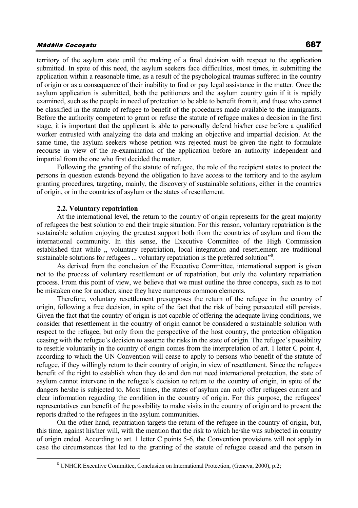territory of the asylum state until the making of a final decision with respect to the application submitted. In spite of this need, the asylum seekers face difficulties, most times, in submitting the application within a reasonable time, as a result of the psychological traumas suffered in the country of origin or as a consequence of their inability to find or pay legal assistance in the matter. Once the asylum application is submitted, both the petitioners and the asylum country gain if it is rapidly examined, such as the people in need of protection to be able to benefit from it, and those who cannot be classified in the statute of refugee to benefit of the procedures made available to the immigrants. Before the authority competent to grant or refuse the statute of refugee makes a decision in the first stage, it is important that the applicant is able to personally defend his/her case before a qualified worker entrusted with analyzing the data and making an objective and impartial decision. At the same time, the asylum seekers whose petition was rejected must be given the right to formulate recourse in view of the re-examination of the application before an authority independent and impartial from the one who first decided the matter.

Following the granting of the statute of refugee, the role of the recipient states to protect the persons in question extends beyond the obligation to have access to the territory and to the asylum granting procedures, targeting, mainly, the discovery of sustainable solutions, either in the countries of origin, or in the countries of asylum or the states of resettlement.

#### **2.2. Voluntary repatriation**

At the international level, the return to the country of origin represents for the great majority of refugees the best solution to end their tragic situation. For this reason, voluntary repatriation is the sustainable solution enjoying the greatest support both from the countries of asylum and from the international community. In this sense, the Executive Committee of the High Commission established that while  $\alpha$ , voluntary repatriation, local integration and resettlement are traditional sustainable solutions for refugees ... voluntary repatriation is the preferred solution"<sup>8</sup>.

As derived from the conclusion of the Executive Committee, international support is given not to the process of voluntary resettlement or of repatriation, but only the voluntary repatriation process. From this point of view, we believe that we must outline the three concepts, such as to not be mistaken one for another, since they have numerous common elements.

Therefore, voluntary resettlement presupposes the return of the refugee in the country of origin, following a free decision, in spite of the fact that the risk of being persecuted still persists. Given the fact that the country of origin is not capable of offering the adequate living conditions, we consider that resettlement in the country of origin cannot be considered a sustainable solution with respect to the refugee, but only from the perspective of the host country, the protection obligation ceasing with the refugee's decision to assume the risks in the state of origin. The refugee's possibility to resettle voluntarily in the country of origin comes from the interpretation of art. 1 letter C point 4, according to which the UN Convention will cease to apply to persons who benefit of the statute of refugee, if they willingly return to their country of origin, in view of resettlement. Since the refugees benefit of the right to establish when they do and don not need international protection, the state of asylum cannot intervene in the refugee's decision to return to the country of origin, in spite of the dangers he/she is subjected to. Most times, the states of asylum can only offer refugees current and clear information regarding the condition in the country of origin. For this purpose, the refugees' representatives can benefit of the possibility to make visits in the country of origin and to present the reports drafted to the refugees in the asylum communities.

On the other hand, repatriation targets the return of the refugee in the country of origin, but, this time, against his/her will, with the mention that the risk to which he/she was subjected in country of origin ended. According to art. 1 letter C points 5-6, the Convention provisions will not apply in case the circumstances that led to the granting of the statute of refugee ceased and the person in

 $\frac{1}{8}$ UNHCR Executive Committee, Conclusion on International Protection, (Geneva, 2000), p.2;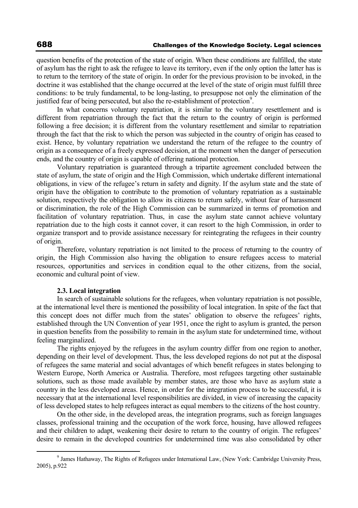question benefits of the protection of the state of origin. When these conditions are fulfilled, the state of asylum has the right to ask the refugee to leave its territory, even if the only option the latter has is to return to the territory of the state of origin. In order for the previous provision to be invoked, in the doctrine it was established that the change occurred at the level of the state of origin must fulfill three conditions: to be truly fundamental, to be long-lasting, to presuppose not only the elimination of the justified fear of being persecuted, but also the re-establishment of protection<sup>9</sup>.

In what concerns voluntary repatriation, it is similar to the voluntary resettlement and is different from repatriation through the fact that the return to the country of origin is performed following a free decision; it is different from the voluntary resettlement and similar to repatriation through the fact that the risk to which the person was subjected in the country of origin has ceased to exist. Hence, by voluntary repatriation we understand the return of the refugee to the country of origin as a consequence of a freely expressed decision, at the moment when the danger of persecution ends, and the country of origin is capable of offering national protection.

Voluntary repatriation is guaranteed through a tripartite agreement concluded between the state of asylum, the state of origin and the High Commission, which undertake different international obligations, in view of the refugee's return in safety and dignity. If the asylum state and the state of origin have the obligation to contribute to the promotion of voluntary repatriation as a sustainable solution, respectively the obligation to allow its citizens to return safely, without fear of harassment or discrimination, the role of the High Commission can be summarized in terms of promotion and facilitation of voluntary repatriation. Thus, in case the asylum state cannot achieve voluntary repatriation due to the high costs it cannot cover, it can resort to the high Commission, in order to organize transport and to provide assistance necessary for reintegrating the refugees in their country of origin.

Therefore, voluntary repatriation is not limited to the process of returning to the country of origin, the High Commission also having the obligation to ensure refugees access to material resources, opportunities and services in condition equal to the other citizens, from the social, economic and cultural point of view.

### **2.3. Local integration**

In search of sustainable solutions for the refugees, when voluntary repatriation is not possible, at the international level there is mentioned the possibility of local integration. In spite of the fact that this concept does not differ much from the states' obligation to observe the refugees' rights, established through the UN Convention of year 1951, once the right to asylum is granted, the person in question benefits from the possibility to remain in the asylum state for undetermined time, without feeling marginalized.

The rights enjoyed by the refugees in the asylum country differ from one region to another, depending on their level of development. Thus, the less developed regions do not put at the disposal of refugees the same material and social advantages of which benefit refugees in states belonging to Western Europe, North America or Australia. Therefore, most refugees targeting other sustainable solutions, such as those made available by member states, are those who have as asylum state a country in the less developed areas. Hence, in order for the integration process to be successful, it is necessary that at the international level responsibilities are divided, in view of increasing the capacity of less developed states to help refugees interact as equal members to the citizens of the host country.

On the other side, in the developed areas, the integration programs, such as foreign languages classes, professional training and the occupation of the work force, housing, have allowed refugees and their children to adapt, weakening their desire to return to the country of origin. The refugees' desire to remain in the developed countries for undetermined time was also consolidated by other

 <sup>9</sup> <sup>9</sup> James Hathaway, The Rights of Refugees under International Law, (New York: Cambridge University Press, 2005), p.922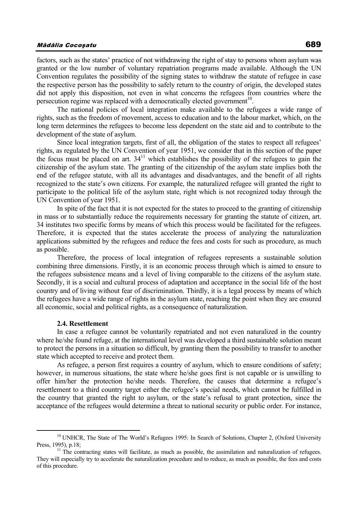factors, such as the states' practice of not withdrawing the right of stay to persons whom asylum was granted or the low number of voluntary repatriation programs made available. Although the UN Convention regulates the possibility of the signing states to withdraw the statute of refugee in case the respective person has the possibility to safely return to the country of origin, the developed states did not apply this disposition, not even in what concerns the refugees from countries where the persecution regime was replaced with a democratically elected government<sup>10</sup>.

The national policies of local integration make available to the refugees a wide range of rights, such as the freedom of movement, access to education and to the labour market, which, on the long term determines the refugees to become less dependent on the state aid and to contribute to the development of the state of asylum.

Since local integration targets, first of all, the obligation of the states to respect all refugees' rights, as regulated by the UN Convention of year 1951, we consider that in this section of the paper the focus must be placed on art.  $34<sup>11</sup>$  which establishes the possibility of the refugees to gain the citizenship of the asylum state. The granting of the citizenship of the asylum state implies both the end of the refugee statute, with all its advantages and disadvantages, and the benefit of all rights recognized to the state's own citizens. For example, the naturalized refugee will granted the right to participate to the political life of the asylum state, right which is not recognized today through the UN Convention of year 1951.

In spite of the fact that it is not expected for the states to proceed to the granting of citizenship in mass or to substantially reduce the requirements necessary for granting the statute of citizen, art. 34 institutes two specific forms by means of which this process would be facilitated for the refugees. Therefore, it is expected that the states accelerate the process of analyzing the naturalization applications submitted by the refugees and reduce the fees and costs for such as procedure, as much as possible.

Therefore, the process of local integration of refugees represents a sustainable solution combining three dimensions. Firstly, it is an economic process through which is aimed to ensure to the refugees subsistence means and a level of living comparable to the citizens of the asylum state. Secondly, it is a social and cultural process of adaptation and acceptance in the social life of the host country and of living without fear of discrimination. Thirdly, it is a legal process by means of which the refugees have a wide range of rights in the asylum state, reaching the point when they are ensured all economic, social and political rights, as a consequence of naturalization.

#### **2.4. Resettlement**

In case a refugee cannot be voluntarily repatriated and not even naturalized in the country where he/she found refuge, at the international level was developed a third sustainable solution meant to protect the persons in a situation so difficult, by granting them the possibility to transfer to another state which accepted to receive and protect them.

As refugee, a person first requires a country of asylum, which to ensure conditions of safety; however, in numerous situations, the state where he/she goes first is not capable or is unwilling to offer him/her the protection he/she needs. Therefore, the causes that determine a refugee's resettlement to a third country target either the refugee's special needs, which cannot be fulfilled in the country that granted the right to asylum, or the state's refusal to grant protection, since the acceptance of the refugees would determine a threat to national security or public order. For instance,

<sup>&</sup>lt;sup>10</sup> UNHCR, The State of The World's Refugees 1995: In Search of Solutions, Chapter 2, (Oxford University Press, 1995), p.18;<br><sup>11</sup> The contracting states will facilitate, as much as possible, the assimilation and naturalization of refugees.

They will especially try to accelerate the naturalization procedure and to reduce, as much as possible, the fees and costs of this procedure.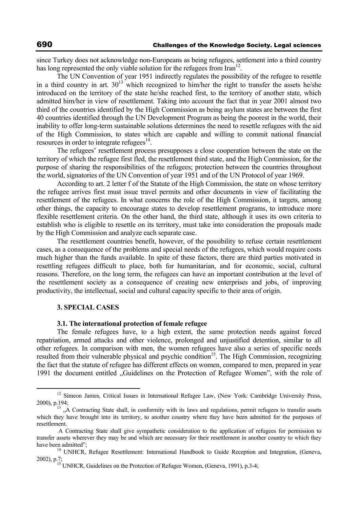since Turkey does not acknowledge non-Europeans as being refugees, settlement into a third country has long represented the only viable solution for the refugees from  $\text{Iran}^{12}$ .

The UN Convention of year 1951 indirectly regulates the possibility of the refugee to resettle in a third country in art.  $30^{13}$  which recognized to him/her the right to transfer the assets he/she introduced on the territory of the state he/she reached first, to the territory of another state, which admitted him/her in view of resettlement. Taking into account the fact that in year 2001 almost two third of the countries identified by the High Commission as being asylum states are between the first 40 countries identified through the UN Development Program as being the poorest in the world, their inability to offer long-term sustainable solutions determines the need to resettle refugees with the aid of the High Commission, to states which are capable and willing to commit national financial resources in order to integrate refugees $^{14}$ .

The refugees' resettlement process presupposes a close cooperation between the state on the territory of which the refugee first fled, the resettlement third state, and the High Commission, for the purpose of sharing the responsibilities of the refugees; protection between the countries throughout the world, signatories of the UN Convention of year 1951 and of the UN Protocol of year 1969.

According to art. 2 letter f of the Statute of the High Commission, the state on whose territory the refugee arrives first must issue travel permits and other documents in view of facilitating the resettlement of the refugees. In what concerns the role of the High Commission, it targets, among other things, the capacity to encourage states to develop resettlement programs, to introduce more flexible resettlement criteria. On the other hand, the third state, although it uses its own criteria to establish who is eligible to resettle on its territory, must take into consideration the proposals made by the High Commission and analyze each separate case.

The resettlement countries benefit, however, of the possibility to refuse certain resettlement cases, as a consequence of the problems and special needs of the refugees, which would require costs much higher than the funds available. In spite of these factors, there are third parties motivated in resettling refugees difficult to place, both for humanitarian, and for economic, social, cultural reasons. Therefore, on the long term, the refugees can have an important contribution at the level of the resettlement society as a consequence of creating new enterprises and jobs, of improving productivity, the intellectual, social and cultural capacity specific to their area of origin.

### **3. SPECIAL CASES**

## **3.1. The international protection of female refugee**

The female refugees have, to a high extent, the same protection needs against forced repatriation, armed attacks and other violence, prolonged and unjustified detention, similar to all other refugees. In comparison with men, the women refugees have also a series of specific needs resulted from their vulnerable physical and psychic condition<sup>15</sup>. The High Commission, recognizing the fact that the statute of refugee has different effects on women, compared to men, prepared in year 1991 the document entitled "Guidelines on the Protection of Refugee Women", with the role of

<sup>&</sup>lt;sup>12</sup> Simeon James, Critical Issues in International Refugee Law, (New York: Cambridge University Press, 2000), p.194;<br> $13^{13}$ , A Contracting State shall, in conformity with its laws and regulations, permit refugees to transfer assets

which they have brought into its territory, to another country where they have been admitted for the purposes of resettlement.

A Contracting State shall give sympathetic consideration to the application of refugees for permission to transfer assets wherever they may be and which are necessary for their resettlement in another country to which they

have been admitted";<br><sup>14</sup> UNHCR, Refugee Resettlement: International Handbook to Guide Reception and Integration, (Geneva, 2002), p.7; UNHCR, Guidelines on the Protection of Refugee Women, (Geneva, 1991), p.3-4;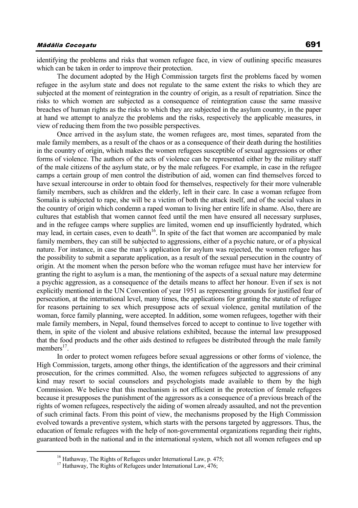identifying the problems and risks that women refugee face, in view of outlining specific measures which can be taken in order to improve their protection.

The document adopted by the High Commission targets first the problems faced by women refugee in the asylum state and does not regulate to the same extent the risks to which they are subjected at the moment of reintegration in the country of origin, as a result of repatriation. Since the risks to which women are subjected as a consequence of reintegration cause the same massive breaches of human rights as the risks to which they are subjected in the asylum country, in the paper at hand we attempt to analyze the problems and the risks, respectively the applicable measures, in view of reducing them from the two possible perspectives.

Once arrived in the asylum state, the women refugees are, most times, separated from the male family members, as a result of the chaos or as a consequence of their death during the hostilities in the country of origin, which makes the women refugees susceptible of sexual aggressions or other forms of violence. The authors of the acts of violence can be represented either by the military staff of the male citizens of the asylum state, or by the male refugees. For example, in case in the refugee camps a certain group of men control the distribution of aid, women can find themselves forced to have sexual intercourse in order to obtain food for themselves, respectively for their more vulnerable family members, such as children and the elderly, left in their care. In case a woman refugee from Somalia is subjected to rape, she will be a victim of both the attack itself, and of the social values in the country of origin which condemn a raped woman to living her entire life in shame. Also, there are cultures that establish that women cannot feed until the men have ensured all necessary surpluses, and in the refugee camps where supplies are limited, women end up insufficiently hydrated, which may lead, in certain cases, even to death<sup>16</sup>. In spite of the fact that women are accompanied by male family members, they can still be subjected to aggressions, either of a psychic nature, or of a physical nature. For instance, in case the man's application for asylum was rejected, the women refugee has the possibility to submit a separate application, as a result of the sexual persecution in the country of origin. At the moment when the person before who the woman refugee must have her interview for granting the right to asylum is a man, the mentioning of the aspects of a sexual nature may determine a psychic aggression, as a consequence of the details means to affect her honour. Even if sex is not explicitly mentioned in the UN Convention of year 1951 as representing grounds for justified fear of persecution, at the international level, many times, the applications for granting the statute of refugee for reasons pertaining to sex which presuppose acts of sexual violence, genital mutilation of the woman, force family planning, were accepted. In addition, some women refugees, together with their male family members, in Nepal, found themselves forced to accept to continue to live together with them, in spite of the violent and abusive relations exhibited, because the internal law presupposed that the food products and the other aids destined to refugees be distributed through the male family members $17$ .

In order to protect women refugees before sexual aggressions or other forms of violence, the High Commission, targets, among other things, the identification of the aggressors and their criminal prosecution, for the crimes committed. Also, the women refugees subjected to aggressions of any kind may resort to social counselors and psychologists made available to them by the high Commission. We believe that this mechanism is not efficient in the protection of female refugees because it presupposes the punishment of the aggressors as a consequence of a previous breach of the rights of women refugees, respectively the aiding of women already assaulted, and not the prevention of such criminal facts. From this point of view, the mechanisms proposed by the High Commission evolved towards a preventive system, which starts with the persons targeted by aggressors. Thus, the education of female refugees with the help of non-governmental organizations regarding their rights, guaranteed both in the national and in the international system, which not all women refugees end up

<sup>&</sup>lt;sup>16</sup> Hathaway, The Rights of Refugees under International Law, p. 475; <sup>17</sup> Hathaway, The Rights of Refugees under International Law, 476;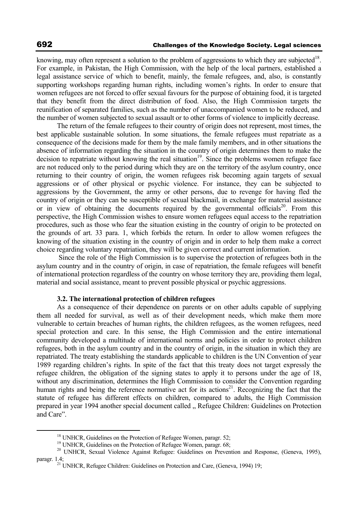knowing, may often represent a solution to the problem of aggressions to which they are subjected<sup>18</sup>. For example, in Pakistan, the High Commission, with the help of the local partners, established a legal assistance service of which to benefit, mainly, the female refugees, and, also, is constantly supporting workshops regarding human rights, including women's rights. In order to ensure that women refugees are not forced to offer sexual favours for the purpose of obtaining food, it is targeted that they benefit from the direct distribution of food. Also, the High Commission targets the reunification of separated families, such as the number of unaccompanied women to be reduced, and the number of women subjected to sexual assault or to other forms of violence to implicitly decrease.

The return of the female refugees to their country of origin does not represent, most times, the best applicable sustainable solution. In some situations, the female refugees must repatriate as a consequence of the decisions made for them by the male family members, and in other situations the absence of information regarding the situation in the country of origin determines them to make the decision to repatriate without knowing the real situation<sup>19</sup>. Since the problems women refugee face are not reduced only to the period during which they are on the territory of the asylum country, once returning to their country of origin, the women refugees risk becoming again targets of sexual aggressions or of other physical or psychic violence. For instance, they can be subjected to aggressions by the Government, the army or other persons, due to revenge for having fled the country of origin or they can be susceptible of sexual blackmail, in exchange for material assistance or in view of obtaining the documents required by the governmental officials<sup>20</sup>. From this perspective, the High Commission wishes to ensure women refugees equal access to the repatriation procedures, such as those who fear the situation existing in the country of origin to be protected on the grounds of art. 33 para. 1, which forbids the return. In order to allow women refugees the knowing of the situation existing in the country of origin and in order to help them make a correct choice regarding voluntary repatriation, they will be given correct and current information.

 Since the role of the High Commission is to supervise the protection of refugees both in the asylum country and in the country of origin, in case of repatriation, the female refugees will benefit of international protection regardless of the country on whose territory they are, providing them legal, material and social assistance, meant to prevent possible physical or psychic aggressions.

### **3.2. The international protection of children refugees**

As a consequence of their dependence on parents or on other adults capable of supplying them all needed for survival, as well as of their development needs, which make them more vulnerable to certain breaches of human rights, the children refugees, as the women refugees, need special protection and care. In this sense, the High Commission and the entire international community developed a multitude of international norms and policies in order to protect children refugees, both in the asylum country and in the country of origin, in the situation in which they are repatriated. The treaty establishing the standards applicable to children is the UN Convention of year 1989 regarding children's rights. In spite of the fact that this treaty does not target expressly the refugee children, the obligation of the signing states to apply it to persons under the age of 18, without any discrimination, determines the High Commission to consider the Convention regarding human rights and being the reference normative act for its actions<sup>21</sup>. Recognizing the fact that the statute of refugee has different effects on children, compared to adults, the High Commission prepared in year 1994 another special document called  $\alpha$ , Refugee Children: Guidelines on Protection and Care".

<sup>&</sup>lt;sup>18</sup> UNHCR, Guidelines on the Protection of Refugee Women, paragr. 52;<br><sup>19</sup> UNHCR, Guidelines on the Protection of Refugee Women, paragr. 68;<br><sup>20</sup> UNHCR, Sexual Violence Against Refugee: Guidelines on Prevention and Respo paragr. 1.4;<br><sup>21</sup> UNHCR, Refugee Children: Guidelines on Protection and Care, (Geneva, 1994) 19;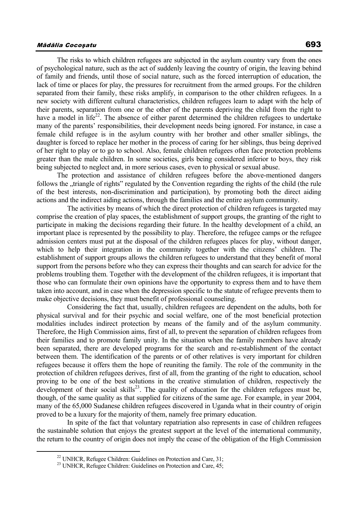The risks to which children refugees are subjected in the asylum country vary from the ones of psychological nature, such as the act of suddenly leaving the country of origin, the leaving behind of family and friends, until those of social nature, such as the forced interruption of education, the lack of time or places for play, the pressures for recruitment from the armed groups. For the children separated from their family, these risks amplify, in comparison to the other children refugees. In a new society with different cultural characteristics, children refugees learn to adapt with the help of their parents, separation from one or the other of the parents depriving the child from the right to have a model in life<sup>22</sup>. The absence of either parent determined the children refugees to undertake many of the parents' responsibilities, their development needs being ignored. For instance, in case a female child refugee is in the asylum country with her brother and other smaller siblings, the daughter is forced to replace her mother in the process of caring for her siblings, thus being deprived of her right to play or to go to school. Also, female children refugees often face protection problems greater than the male children. In some societies, girls being considered inferior to boys, they risk being subjected to neglect and, in more serious cases, even to physical or sexual abuse.

The protection and assistance of children refugees before the above-mentioned dangers follows the "triangle of rights" regulated by the Convention regarding the rights of the child (the rule of the best interests, non-discrimination and participation), by promoting both the direct aiding actions and the indirect aiding actions, through the families and the entire asylum community.

 The activities by means of which the direct protection of children refugees is targeted may comprise the creation of play spaces, the establishment of support groups, the granting of the right to participate in making the decisions regarding their future. In the healthy development of a child, an important place is represented by the possibility to play. Therefore, the refugee camps or the refugee admission centers must put at the disposal of the children refugees places for play, without danger, which to help their integration in the community together with the citizens' children. The establishment of support groups allows the children refugees to understand that they benefit of moral support from the persons before who they can express their thoughts and can search for advice for the problems troubling them. Together with the development of the children refugees, it is important that those who can formulate their own opinions have the opportunity to express them and to have them taken into account, and in case when the depression specific to the statute of refugee prevents them to make objective decisions, they must benefit of professional counseling.

Considering the fact that, usually, children refugees are dependent on the adults, both for physical survival and for their psychic and social welfare, one of the most beneficial protection modalities includes indirect protection by means of the family and of the asylum community. Therefore, the High Commission aims, first of all, to prevent the separation of children refugees from their families and to promote family unity. In the situation when the family members have already been separated, there are developed programs for the search and re-establishment of the contact between them. The identification of the parents or of other relatives is very important for children refugees because it offers them the hope of reuniting the family. The role of the community in the protection of children refugees derives, first of all, from the granting of the right to education, school proving to be one of the best solutions in the creative stimulation of children, respectively the development of their social skills<sup>23</sup>. The quality of education for the children refugees must be, though, of the same quality as that supplied for citizens of the same age. For example, in year 2004, many of the 65,000 Sudanese children refugees discovered in Uganda what in their country of origin proved to be a luxury for the majority of them, namely free primary education.

 In spite of the fact that voluntary repatriation also represents in case of children refugees the sustainable solution that enjoys the greatest support at the level of the international community, the return to the country of origin does not imply the cease of the obligation of the High Commission

 $22$  UNHCR, Refugee Children: Guidelines on Protection and Care, 31;

<sup>&</sup>lt;sup>23</sup> UNHCR, Refugee Children: Guidelines on Protection and Care, 45;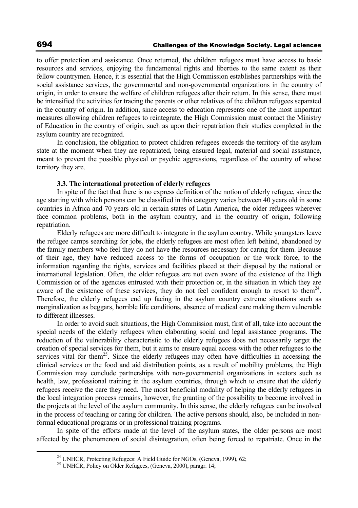to offer protection and assistance. Once returned, the children refugees must have access to basic resources and services, enjoying the fundamental rights and liberties to the same extent as their fellow countrymen. Hence, it is essential that the High Commission establishes partnerships with the social assistance services, the governmental and non-governmental organizations in the country of origin, in order to ensure the welfare of children refugees after their return. In this sense, there must be intensified the activities for tracing the parents or other relatives of the children refugees separated in the country of origin. In addition, since access to education represents one of the most important measures allowing children refugees to reintegrate, the High Commission must contact the Ministry of Education in the country of origin, such as upon their repatriation their studies completed in the asylum country are recognized.

In conclusion, the obligation to protect children refugees exceeds the territory of the asylum state at the moment when they are repatriated, being ensured legal, material and social assistance, meant to prevent the possible physical or psychic aggressions, regardless of the country of whose territory they are.

## **3.3. The international protection of elderly refugees**

In spite of the fact that there is no express definition of the notion of elderly refugee, since the age starting with which persons can be classified in this category varies between 40 years old in some countries in Africa and 70 years old in certain states of Latin America, the older refugees wherever face common problems, both in the asylum country, and in the country of origin, following repatriation.

Elderly refugees are more difficult to integrate in the asylum country. While youngsters leave the refugee camps searching for jobs, the elderly refugees are most often left behind, abandoned by the family members who feel they do not have the resources necessary for caring for them. Because of their age, they have reduced access to the forms of occupation or the work force, to the information regarding the rights, services and facilities placed at their disposal by the national or international legislation. Often, the older refugees are not even aware of the existence of the High Commission or of the agencies entrusted with their protection or, in the situation in which they are aware of the existence of these services, they do not feel confident enough to resort to them<sup>24</sup>. Therefore, the elderly refugees end up facing in the asylum country extreme situations such as marginalization as beggars, horrible life conditions, absence of medical care making them vulnerable to different illnesses.

In order to avoid such situations, the High Commission must, first of all, take into account the special needs of the elderly refugees when elaborating social and legal assistance programs. The reduction of the vulnerability characteristic to the elderly refugees does not necessarily target the creation of special services for them, but it aims to ensure equal access with the other refugees to the services vital for them<sup>25</sup>. Since the elderly refugees may often have difficulties in accessing the clinical services or the food and aid distribution points, as a result of mobility problems, the High Commission may conclude partnerships with non-governmental organizations in sectors such as health, law, professional training in the asylum countries, through which to ensure that the elderly refugees receive the care they need. The most beneficial modality of helping the elderly refugees in the local integration process remains, however, the granting of the possibility to become involved in the projects at the level of the asylum community. In this sense, the elderly refugees can be involved in the process of teaching or caring for children. The active persons should, also, be included in nonformal educational programs or in professional training programs.

In spite of the efforts made at the level of the asylum states, the older persons are most affected by the phenomenon of social disintegration, often being forced to repatriate. Once in the

<sup>&</sup>lt;sup>24</sup> UNHCR, Protecting Refugees: A Field Guide for NGOs, (Geneva, 1999), 62;

<sup>&</sup>lt;sup>25</sup> UNHCR, Policy on Older Refugees, (Geneva, 2000), paragr. 14;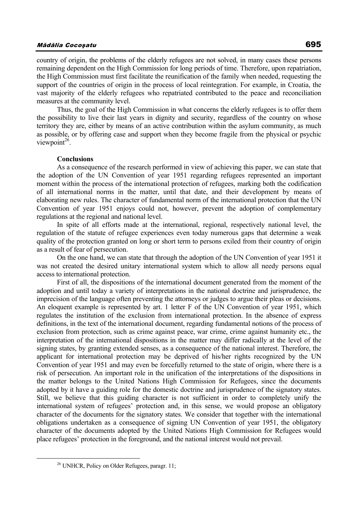country of origin, the problems of the elderly refugees are not solved, in many cases these persons remaining dependent on the High Commission for long periods of time. Therefore, upon repatriation, the High Commission must first facilitate the reunification of the family when needed, requesting the support of the countries of origin in the process of local reintegration. For example, in Croatia, the vast majority of the elderly refugees who repatriated contributed to the peace and reconciliation measures at the community level.

Thus, the goal of the High Commission in what concerns the elderly refugees is to offer them the possibility to live their last years in dignity and security, regardless of the country on whose territory they are, either by means of an active contribution within the asylum community, as much as possible, or by offering case and support when they become fragile from the physical or psychic viewpoint $26$ .

### **Conclusions**

As a consequence of the research performed in view of achieving this paper, we can state that the adoption of the UN Convention of year 1951 regarding refugees represented an important moment within the process of the international protection of refugees, marking both the codification of all international norms in the matter, until that date, and their development by means of elaborating new rules. The character of fundamental norm of the international protection that the UN Convention of year 1951 enjoys could not, however, prevent the adoption of complementary regulations at the regional and national level.

In spite of all efforts made at the international, regional, respectively national level, the regulation of the statute of refugee experiences even today numerous gaps that determine a weak quality of the protection granted on long or short term to persons exiled from their country of origin as a result of fear of persecution.

On the one hand, we can state that through the adoption of the UN Convention of year 1951 it was not created the desired unitary international system which to allow all needy persons equal access to international protection.

First of all, the dispositions of the international document generated from the moment of the adoption and until today a variety of interpretations in the national doctrine and jurisprudence, the imprecision of the language often preventing the attorneys or judges to argue their pleas or decisions. An eloquent example is represented by art. 1 letter F of the UN Convention of year 1951, which regulates the institution of the exclusion from international protection. In the absence of express definitions, in the text of the international document, regarding fundamental notions of the process of exclusion from protection, such as crime against peace, war crime, crime against humanity etc., the interpretation of the international dispositions in the matter may differ radically at the level of the signing states, by granting extended senses, as a consequence of the national interest. Therefore, the applicant for international protection may be deprived of his/her rights recognized by the UN Convention of year 1951 and may even be forcefully returned to the state of origin, where there is a risk of persecution. An important role in the unification of the interpretations of the dispositions in the matter belongs to the United Nations High Commission for Refugees, since the documents adopted by it have a guiding role for the domestic doctrine and jurisprudence of the signatory states. Still, we believe that this guiding character is not sufficient in order to completely unify the international system of refugees' protection and, in this sense, we would propose an obligatory character of the documents for the signatory states. We consider that together with the international obligations undertaken as a consequence of signing UN Convention of year 1951, the obligatory character of the documents adopted by the United Nations High Commission for Refugees would place refugees' protection in the foreground, and the national interest would not prevail.

<sup>&</sup>lt;sup>26</sup> UNHCR, Policy on Older Refugees, paragr. 11;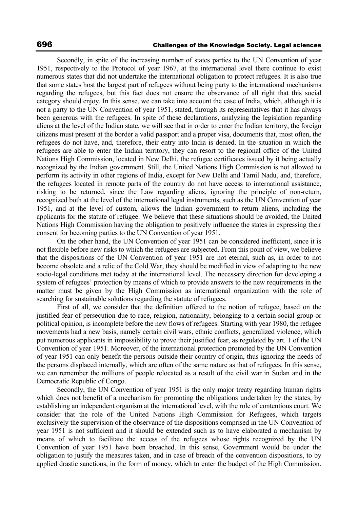Secondly, in spite of the increasing number of states parties to the UN Convention of year 1951, respectively to the Protocol of year 1967, at the international level there continue to exist numerous states that did not undertake the international obligation to protect refugees. It is also true that some states host the largest part of refugees without being party to the international mechanisms regarding the refugees, but this fact does not ensure the observance of all right that this social category should enjoy. In this sense, we can take into account the case of India, which, although it is not a party to the UN Convention of year 1951, stated, through its representatives that it has always been generous with the refugees. In spite of these declarations, analyzing the legislation regarding aliens at the level of the Indian state, we will see that in order to enter the Indian territory, the foreign citizens must present at the border a valid passport and a proper visa, documents that, most often, the refugees do not have, and, therefore, their entry into India is denied. In the situation in which the refugees are able to enter the Indian territory, they can resort to the regional office of the United Nations High Commission, located in New Delhi, the refugee certificates issued by it being actually recognized by the Indian government. Still, the United Nations High Commission is not allowed to perform its activity in other regions of India, except for New Delhi and Tamil Nadu, and, therefore, the refugees located in remote parts of the country do not have access to international assistance, risking to be returned, since the Law regarding aliens, ignoring the principle of non-return, recognized both at the level of the international legal instruments, such as the UN Convention of year 1951, and at the level of custom, allows the Indian government to return aliens, including the applicants for the statute of refugee. We believe that these situations should be avoided, the United Nations High Commission having the obligation to positively influence the states in expressing their consent for becoming parties to the UN Convention of year 1951.

On the other hand, the UN Convention of year 1951 can be considered inefficient, since it is not flexible before new risks to which the refugees are subjected. From this point of view, we believe that the dispositions of the UN Convention of year 1951 are not eternal, such as, in order to not become obsolete and a relic of the Cold War, they should be modified in view of adapting to the new socio-legal conditions met today at the international level. The necessary direction for developing a system of refugees' protection by means of which to provide answers to the new requirements in the matter must be given by the High Commission as international organization with the role of searching for sustainable solutions regarding the statute of refugees.

First of all, we consider that the definition offered to the notion of refugee, based on the justified fear of persecution due to race, religion, nationality, belonging to a certain social group or political opinion, is incomplete before the new flows of refugees. Starting with year 1980, the refugee movements had a new basis, namely certain civil wars, ethnic conflicts, generalized violence, which put numerous applicants in impossibility to prove their justified fear, as regulated by art. 1 of the UN Convention of year 1951. Moreover, of the international protection promoted by the UN Convention of year 1951 can only benefit the persons outside their country of origin, thus ignoring the needs of the persons displaced internally, which are often of the same nature as that of refugees. In this sense, we can remember the millions of people relocated as a result of the civil war in Sudan and in the Democratic Republic of Congo.

Secondly, the UN Convention of year 1951 is the only major treaty regarding human rights which does not benefit of a mechanism for promoting the obligations undertaken by the states, by establishing an independent organism at the international level, with the role of contentious court. We consider that the role of the United Nations High Commission for Refugees, which targets exclusively the supervision of the observance of the dispositions comprised in the UN Convention of year 1951 is not sufficient and it should be extended such as to have elaborated a mechanism by means of which to facilitate the access of the refugees whose rights recognized by the UN Convention of year 1951 have been breached. In this sense, Government would be under the obligation to justify the measures taken, and in case of breach of the convention dispositions, to by applied drastic sanctions, in the form of money, which to enter the budget of the High Commission.